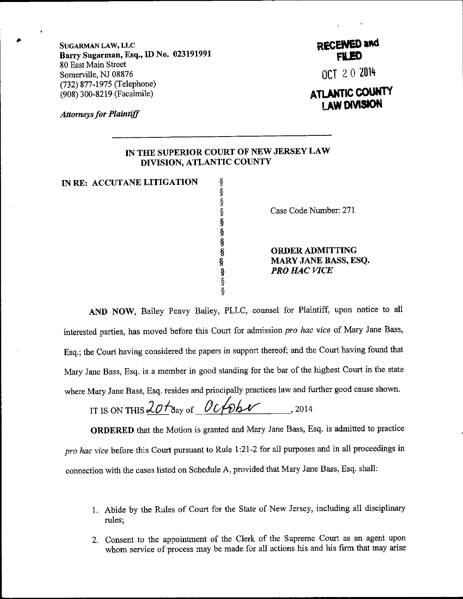SUGARMAN LAw, LLc Barry Sugarman, Esq., ID No. 023191991 80 East Main Street Somerville, NJ 08876 (732) 877-1975 (Telephone) (908) 300-8219 (Facsimile)

**Attorneys for Plaintiff** 

## RECENED and **FILED**

OCT 20 2014

## **ATLANTIC COUNTY AW DIVISION**

## IN TIIE SUPERIOR COURT OF NEW JERSEY LAW DIVISION, ATLANTIC COUNTY

s \$ s s \$ \$ s s \$ \$ \$

IN RE: ACCUTANE LITIGATION

Case Code Number: 271

ORDERADMITTING MARY JANE BASS, ESQ. PRO HAC VICE

AND NOW, Bailey Peavy Bailey, PLLC, counsel for Plaintiff, upon notice to al1 interested parties, has moved before this Court for admission pro hac vice of Mary Jane Bass, Esq.; the Court having considered the papers in support thereof; and the Court having found that Mary Jane Bass, Esq. is a member in good standing for the bar of the highest Court in the state where Mary Jane Bass, Esq. resides and principally practices law and further good cause shown.

IT IS ON THIS  $\frac{20 \text{ days}}{4}$  . 2014

ORDERED that the Motion is granted and Mary Jane Bass, Esq. is admitted to practice pro hac vice before this Court pursuant to Rule 1:21-2 for all purposes and in all proceedings in connection with the cases listed on Schedule A, provided that Mary Jane Bass, Esq. shall:

- 1. Abide by the Rules of Court for the State of New Jersey, including all disciplinary rules;
- 2. Consent to the appointment of the Clerk of the Supreme Court as an agent upon whom service of process may be made for all actions his and his firm that may arise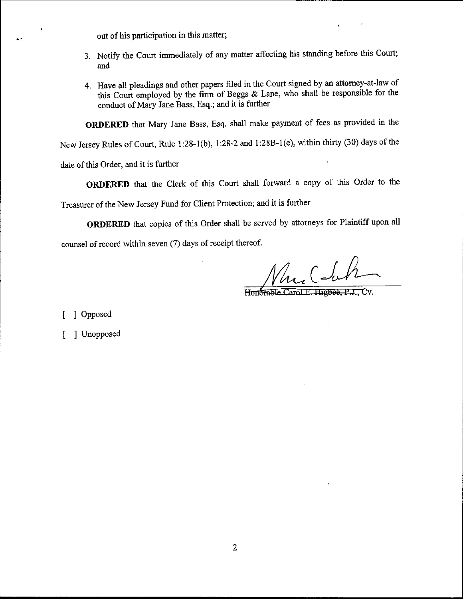out of his participation in this matter;

- 3. Notify the Court immediately of any matter affecting his standing before this Court; and
- 4. Have all pleadings and other papers filed in the court signed by an attomey-at-law of this court employed by the firm of Beggs & Lane, who shall be responsible for the conduct of Mary Jane Bass, Esq.; and it is further

ORDERED that Mary Jane Bass, Esq. shall make payment of fees as provided in the

New Jersey Rules of Court, Rule 1:28-1(b), l:28-2 ond 1:288-1(e), within thirty (30) days of the

date of this Order, and it is further

oRDERED that the clerk of this court shall forward a copy of this order to the

Treasuer of the New Jersey Fund for Client Protection; and it is further

ORDERED that copies of this Order shall be served by attorneys for Plaintiff upon all

counsel of record within seven (7) days of receipt thereof.

 $C$ -leh

Honorable

Opposed  $\lfloor$ 

Unopposed t